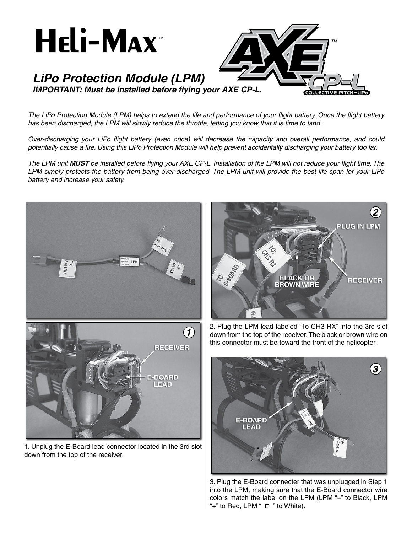

## *LiPo Protection Module (LPM) IMPORTANT: Must be installed before flying your AXE CP-L.*

*™*

*The LiPo Protection Module (LPM) helps to extend the life and performance of your flight battery. Once the flight battery has been discharged, the LPM will slowly reduce the throttle, letting you know that it is time to land.* 

*Over-discharging your LiPo flight battery (even once) will decrease the capacity and overall performance, and could potentially cause a fire. Using this LiPo Protection Module will help prevent accidentally discharging your battery too far.*

*The LPM unit MUST be installed before flying your AXE CP-L. Installation of the LPM will not reduce your flight time. The LPM simply protects the battery from being over-discharged. The LPM unit will provide the best life span for your LiPo battery and increase your safety.*



1. Unplug the E-Board lead connector located in the 3rd slot down from the top of the receiver.



2. Plug the LPM lead labeled "To CH3 RX" into the 3rd slot down from the top of the receiver. The black or brown wire on this connector must be toward the front of the helicopter.



3. Plug the E-Board connecter that was unplugged in Step 1 into the LPM, making sure that the E-Board connector wire colors match the label on the LPM (LPM "–" to Black, LPM "+" to Red, LPM " $\Box$ " to White).